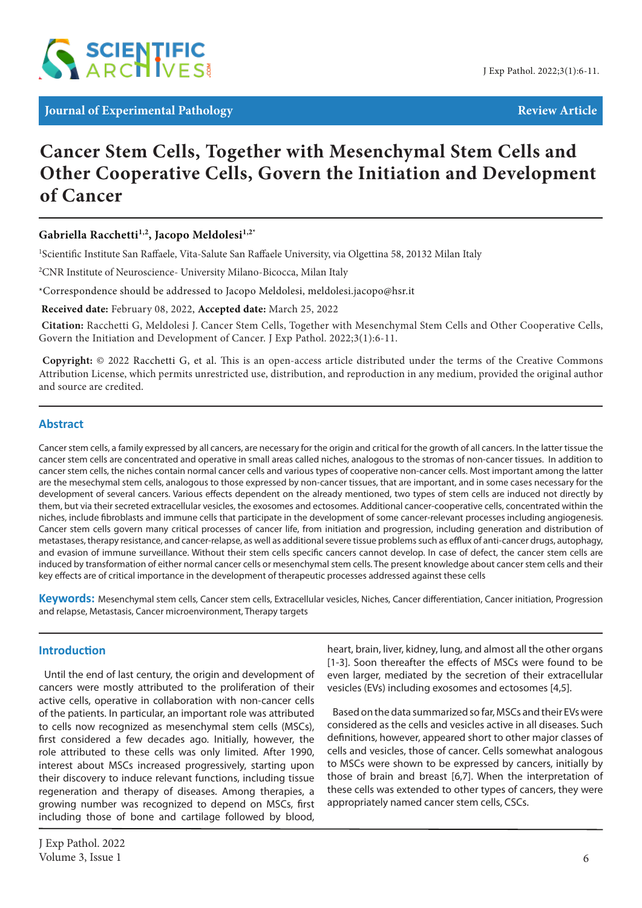

# **Cancer Stem Cells, Together with Mesenchymal Stem Cells and Other Cooperative Cells, Govern the Initiation and Development of Cancer**

# **Gabriella Racchetti1,2, Jacopo Meldolesi1,2\***

<sup>1</sup>Scientific Institute San Raffaele, Vita-Salute San Raffaele University, via Olgettina 58, 20132 Milan Italy

<sup>2</sup>CNR Institute of Neuroscience- University Milano-Bicocca, Milan Italy

\*Correspondence should be addressed to Jacopo Meldolesi, meldolesi.jacopo@hsr.it

 **Received date:** February 08, 2022, **Accepted date:** March 25, 2022

**Citation:** Racchetti G, Meldolesi J. Cancer Stem Cells, Together with Mesenchymal Stem Cells and Other Cooperative Cells, Govern the Initiation and Development of Cancer. J Exp Pathol. 2022;3(1):6-11.

 **Copyright:** © 2022 Racchetti G, et al. This is an open-access article distributed under the terms of the Creative Commons Attribution License, which permits unrestricted use, distribution, and reproduction in any medium, provided the original author and source are credited.

## **Abstract**

Cancer stem cells, a family expressed by all cancers, are necessary for the origin and critical for the growth of all cancers. In the latter tissue the cancer stem cells are concentrated and operative in small areas called niches, analogous to the stromas of non-cancer tissues. In addition to cancer stem cells, the niches contain normal cancer cells and various types of cooperative non-cancer cells. Most important among the latter are the mesechymal stem cells, analogous to those expressed by non-cancer tissues, that are important, and in some cases necessary for the development of several cancers. Various effects dependent on the already mentioned, two types of stem cells are induced not directly by them, but via their secreted extracellular vesicles, the exosomes and ectosomes. Additional cancer-cooperative cells, concentrated within the niches, include fibroblasts and immune cells that participate in the development of some cancer-relevant processes including angiogenesis. Cancer stem cells govern many critical processes of cancer life, from initiation and progression, including generation and distribution of metastases, therapy resistance, and cancer-relapse, as well as additional severe tissue problems such as efflux of anti-cancer drugs, autophagy, and evasion of immune surveillance. Without their stem cells specific cancers cannot develop. In case of defect, the cancer stem cells are induced by transformation of either normal cancer cells or mesenchymal stem cells. The present knowledge about cancer stem cells and their key effects are of critical importance in the development of therapeutic processes addressed against these cells

**Keywords:** Mesenchymal stem cells, Cancer stem cells, Extracellular vesicles, Niches, Cancer differentiation, Cancer initiation, Progression and relapse, Metastasis, Cancer microenvironment, Therapy targets

#### **Introduction**

Until the end of last century, the origin and development of cancers were mostly attributed to the proliferation of their active cells, operative in collaboration with non-cancer cells of the patients. In particular, an important role was attributed to cells now recognized as mesenchymal stem cells (MSCs), first considered a few decades ago. Initially, however, the role attributed to these cells was only limited. After 1990, interest about MSCs increased progressively, starting upon their discovery to induce relevant functions, including tissue regeneration and therapy of diseases. Among therapies, a growing number was recognized to depend on MSCs, first including those of bone and cartilage followed by blood,

heart, brain, liver, kidney, lung, and almost all the other organs [1-3]. Soon thereafter the effects of MSCs were found to be even larger, mediated by the secretion of their extracellular vesicles (EVs) including exosomes and ectosomes [4,5].

Based on the data summarized so far, MSCs and their EVs were considered as the cells and vesicles active in all diseases. Such definitions, however, appeared short to other major classes of cells and vesicles, those of cancer. Cells somewhat analogous to MSCs were shown to be expressed by cancers, initially by those of brain and breast [6,7]. When the interpretation of these cells was extended to other types of cancers, they were appropriately named cancer stem cells, CSCs.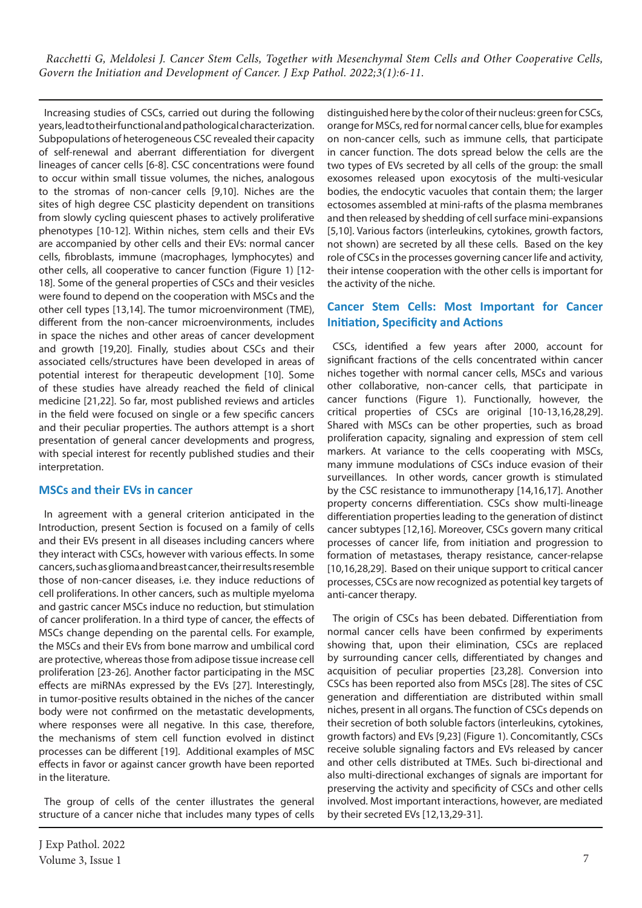Increasing studies of CSCs, carried out during the following years, lead to their functional and pathological characterization. Subpopulations of heterogeneous CSC revealed their capacity of self-renewal and aberrant differentiation for divergent lineages of cancer cells [6-8]. CSC concentrations were found to occur within small tissue volumes, the niches, analogous to the stromas of non-cancer cells [9,10]. Niches are the sites of high degree CSC plasticity dependent on transitions from slowly cycling quiescent phases to actively proliferative phenotypes [10-12]. Within niches, stem cells and their EVs are accompanied by other cells and their EVs: normal cancer cells, fibroblasts, immune (macrophages, lymphocytes) and other cells, all cooperative to cancer function (Figure 1) [12- 18]. Some of the general properties of CSCs and their vesicles were found to depend on the cooperation with MSCs and the other cell types [13,14]. The tumor microenvironment (TME), different from the non-cancer microenvironments, includes in space the niches and other areas of cancer development and growth [19,20]. Finally, studies about CSCs and their associated cells/structures have been developed in areas of potential interest for therapeutic development [10]. Some of these studies have already reached the field of clinical medicine [21,22]. So far, most published reviews and articles in the field were focused on single or a few specific cancers and their peculiar properties. The authors attempt is a short presentation of general cancer developments and progress, with special interest for recently published studies and their interpretation.

#### **MSCs and their EVs in cancer**

In agreement with a general criterion anticipated in the Introduction, present Section is focused on a family of cells and their EVs present in all diseases including cancers where they interact with CSCs, however with various effects. In some cancers, such as glioma and breast cancer, their results resemble those of non-cancer diseases, i.e. they induce reductions of cell proliferations. In other cancers, such as multiple myeloma and gastric cancer MSCs induce no reduction, but stimulation of cancer proliferation. In a third type of cancer, the effects of MSCs change depending on the parental cells. For example, the MSCs and their EVs from bone marrow and umbilical cord are protective, whereas those from adipose tissue increase cell proliferation [23-26]. Another factor participating in the MSC effects are miRNAs expressed by the EVs [27]. Interestingly, in tumor-positive results obtained in the niches of the cancer body were not confirmed on the metastatic developments, where responses were all negative. In this case, therefore, the mechanisms of stem cell function evolved in distinct processes can be different [19]. Additional examples of MSC effects in favor or against cancer growth have been reported in the literature.

The group of cells of the center illustrates the general structure of a cancer niche that includes many types of cells distinguished here by the color of their nucleus: green for CSCs, orange for MSCs, red for normal cancer cells, blue for examples on non-cancer cells, such as immune cells, that participate in cancer function. The dots spread below the cells are the two types of EVs secreted by all cells of the group: the small exosomes released upon exocytosis of the multi-vesicular bodies, the endocytic vacuoles that contain them; the larger ectosomes assembled at mini-rafts of the plasma membranes and then released by shedding of cell surface mini-expansions [5,10]. Various factors (interleukins, cytokines, growth factors, not shown) are secreted by all these cells. Based on the key role of CSCs in the processes governing cancer life and activity, their intense cooperation with the other cells is important for the activity of the niche.

# **Cancer Stem Cells: Most Important for Cancer Initiation, Specificity and Actions**

CSCs, identified a few years after 2000, account for significant fractions of the cells concentrated within cancer niches together with normal cancer cells, MSCs and various other collaborative, non-cancer cells, that participate in cancer functions (Figure 1). Functionally, however, the critical properties of CSCs are original [10-13,16,28,29]. Shared with MSCs can be other properties, such as broad proliferation capacity, signaling and expression of stem cell markers. At variance to the cells cooperating with MSCs, many immune modulations of CSCs induce evasion of their surveillances. In other words, cancer growth is stimulated by the CSC resistance to immunotherapy [14,16,17]. Another property concerns differentiation. CSCs show multi-lineage differentiation properties leading to the generation of distinct cancer subtypes [12,16]. Moreover, CSCs govern many critical processes of cancer life, from initiation and progression to formation of metastases, therapy resistance, cancer-relapse [10,16,28,29]. Based on their unique support to critical cancer processes, CSCs are now recognized as potential key targets of anti-cancer therapy.

The origin of CSCs has been debated. Differentiation from normal cancer cells have been confirmed by experiments showing that, upon their elimination, CSCs are replaced by surrounding cancer cells, differentiated by changes and acquisition of peculiar properties [23,28]. Conversion into CSCs has been reported also from MSCs [28]. The sites of CSC generation and differentiation are distributed within small niches, present in all organs. The function of CSCs depends on their secretion of both soluble factors (interleukins, cytokines, growth factors) and EVs [9,23] (Figure 1). Concomitantly, CSCs receive soluble signaling factors and EVs released by cancer and other cells distributed at TMEs. Such bi-directional and also multi-directional exchanges of signals are important for preserving the activity and specificity of CSCs and other cells involved. Most important interactions, however, are mediated by their secreted EVs [12,13,29-31].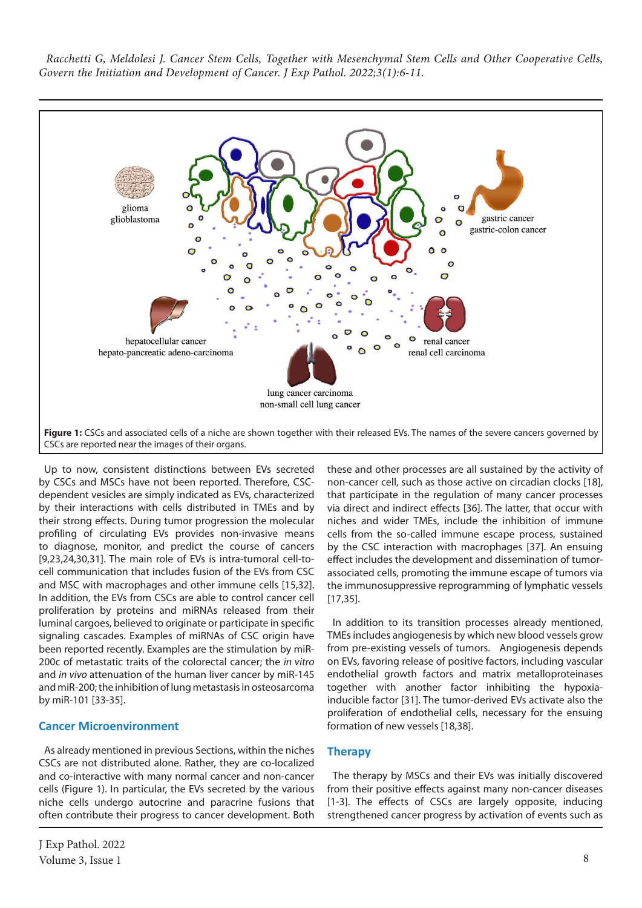

Up to now, consistent distinctions between EVs secreted by CSCs and MSCs have not been reported. Therefore, CSCdependent vesicles are simply indicated as EVs, characterized by their interactions with cells distributed in TMEs and by their strong effects. During tumor progression the molecular profiling of circulating EVs provides non-invasive means to diagnose, monitor, and predict the course of cancers [9,23,24,30,31]. The main role of EVs is intra-tumoral cell-tocell communication that includes fusion of the EVs from CSC and MSC with macrophages and other immune cells [15,32]. In addition, the EVs from CSCs are able to control cancer cell proliferation by proteins and miRNAs released from their luminal cargoes, believed to originate or participate in specific signaling cascades. Examples of miRNAs of CSC origin have been reported recently. Examples are the stimulation by miR-200c of metastatic traits of the colorectal cancer; the *in vitro* and *in vivo* attenuation of the human liver cancer by miR-145 and miR-200; the inhibition of lung metastasis in osteosarcoma by miR-101 [33-35].

#### **Cancer Microenvironment**

As already mentioned in previous Sections, within the niches CSCs are not distributed alone. Rather, they are co-localized and co-interactive with many normal cancer and non-cancer cells (Figure 1). In particular, the EVs secreted by the various niche cells undergo autocrine and paracrine fusions that often contribute their progress to cancer development. Both

these and other processes are all sustained by the activity of non-cancer cell, such as those active on circadian clocks [18], that participate in the regulation of many cancer processes via direct and indirect effects [36]. The latter, that occur with niches and wider TMEs, include the inhibition of immune cells from the so-called immune escape process, sustained by the CSC interaction with macrophages [37]. An ensuing effect includes the development and dissemination of tumorassociated cells, promoting the immune escape of tumors via the immunosuppressive reprogramming of lymphatic vessels [17,35].

In addition to its transition processes already mentioned, TMEs includes angiogenesis by which new blood vessels grow from pre-existing vessels of tumors. Angiogenesis depends on EVs, favoring release of positive factors, including vascular endothelial growth factors and matrix metalloproteinases together with another factor inhibiting the hypoxiainducible factor [31]. The tumor-derived EVs activate also the proliferation of endothelial cells, necessary for the ensuing formation of new vessels [18,38].

## **Therapy**

The therapy by MSCs and their EVs was initially discovered from their positive effects against many non-cancer diseases [1-3]. The effects of CSCs are largely opposite, inducing strengthened cancer progress by activation of events such as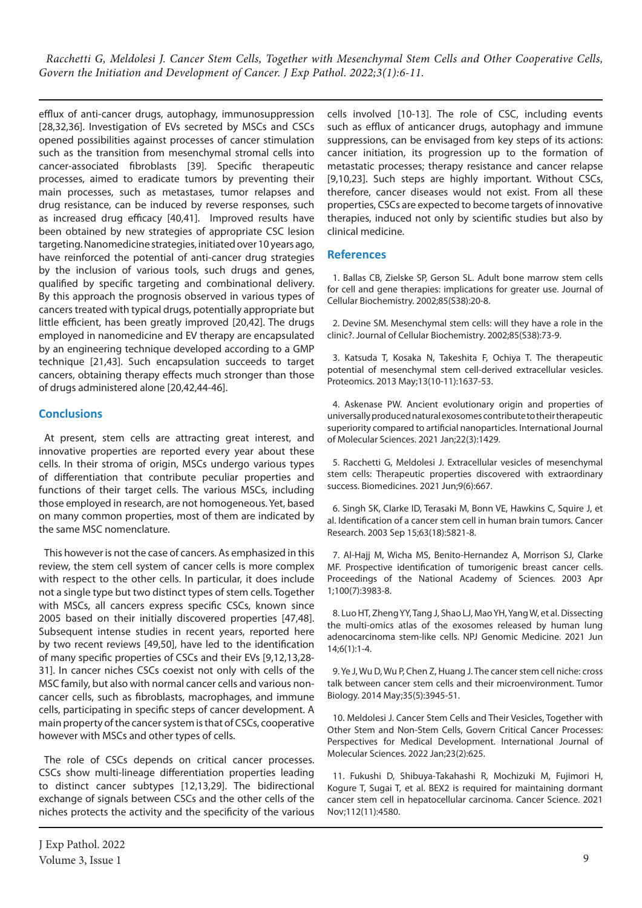efflux of anti-cancer drugs, autophagy, immunosuppression [28,32,36]. Investigation of EVs secreted by MSCs and CSCs opened possibilities against processes of cancer stimulation such as the transition from mesenchymal stromal cells into cancer-associated fibroblasts [39]. Specific therapeutic processes, aimed to eradicate tumors by preventing their main processes, such as metastases, tumor relapses and drug resistance, can be induced by reverse responses, such as increased drug efficacy [40,41]. Improved results have been obtained by new strategies of appropriate CSC lesion targeting. Nanomedicine strategies, initiated over 10 years ago, have reinforced the potential of anti-cancer drug strategies by the inclusion of various tools, such drugs and genes, qualified by specific targeting and combinational delivery. By this approach the prognosis observed in various types of cancers treated with typical drugs, potentially appropriate but little efficient, has been greatly improved [20,42]. The drugs employed in nanomedicine and EV therapy are encapsulated by an engineering technique developed according to a GMP technique [21,43]. Such encapsulation succeeds to target cancers, obtaining therapy effects much stronger than those of drugs administered alone [20,42,44-46].

## **Conclusions**

At present, stem cells are attracting great interest, and innovative properties are reported every year about these cells. In their stroma of origin, MSCs undergo various types of differentiation that contribute peculiar properties and functions of their target cells. The various MSCs, including those employed in research, are not homogeneous. Yet, based on many common properties, most of them are indicated by the same MSC nomenclature.

This however is not the case of cancers. As emphasized in this review, the stem cell system of cancer cells is more complex with respect to the other cells. In particular, it does include not a single type but two distinct types of stem cells. Together with MSCs, all cancers express specific CSCs, known since 2005 based on their initially discovered properties [47,48]. Subsequent intense studies in recent years, reported here by two recent reviews [49,50], have led to the identification of many specific properties of CSCs and their EVs [9,12,13,28- 31]. In cancer niches CSCs coexist not only with cells of the MSC family, but also with normal cancer cells and various noncancer cells, such as fibroblasts, macrophages, and immune cells, participating in specific steps of cancer development. A main property of the cancer system is that of CSCs, cooperative however with MSCs and other types of cells.

The role of CSCs depends on critical cancer processes. CSCs show multi-lineage differentiation properties leading to distinct cancer subtypes [12,13,29]. The bidirectional exchange of signals between CSCs and the other cells of the niches protects the activity and the specificity of the various cells involved [10-13]. The role of CSC, including events such as efflux of anticancer drugs, autophagy and immune suppressions, can be envisaged from key steps of its actions: cancer initiation, its progression up to the formation of metastatic processes; therapy resistance and cancer relapse [9,10,23]. Such steps are highly important. Without CSCs, therefore, cancer diseases would not exist. From all these properties, CSCs are expected to become targets of innovative therapies, induced not only by scientific studies but also by clinical medicine.

#### **References**

1. Ballas CB, Zielske SP, Gerson SL. Adult bone marrow stem cells for cell and gene therapies: implications for greater use. Journal of Cellular Biochemistry. 2002;85(S38):20-8.

2. Devine SM. Mesenchymal stem cells: will they have a role in the clinic?. Journal of Cellular Biochemistry. 2002;85(S38):73-9.

3. Katsuda T, Kosaka N, Takeshita F, Ochiya T. The therapeutic potential of mesenchymal stem cell-derived extracellular vesicles. Proteomics. 2013 May;13(10-11):1637-53.

4. Askenase PW. Ancient evolutionary origin and properties of universally produced natural exosomes contribute to their therapeutic superiority compared to artificial nanoparticles. International Journal of Molecular Sciences. 2021 Jan;22(3):1429.

5. Racchetti G, Meldolesi J. Extracellular vesicles of mesenchymal stem cells: Therapeutic properties discovered with extraordinary success. Biomedicines. 2021 Jun;9(6):667.

6. Singh SK, Clarke ID, Terasaki M, Bonn VE, Hawkins C, Squire J, et al. Identification of a cancer stem cell in human brain tumors. Cancer Research. 2003 Sep 15;63(18):5821-8.

7. Al-Hajj M, Wicha MS, Benito-Hernandez A, Morrison SJ, Clarke MF. Prospective identification of tumorigenic breast cancer cells. Proceedings of the National Academy of Sciences. 2003 Apr 1;100(7):3983-8.

8. Luo HT, Zheng YY, Tang J, Shao LJ, Mao YH, Yang W, et al. Dissecting the multi-omics atlas of the exosomes released by human lung adenocarcinoma stem-like cells. NPJ Genomic Medicine. 2021 Jun 14;6(1):1-4.

9. Ye J, Wu D, Wu P, Chen Z, Huang J. The cancer stem cell niche: cross talk between cancer stem cells and their microenvironment. Tumor Biology. 2014 May;35(5):3945-51.

10. Meldolesi J. Cancer Stem Cells and Their Vesicles, Together with Other Stem and Non-Stem Cells, Govern Critical Cancer Processes: Perspectives for Medical Development. International Journal of Molecular Sciences. 2022 Jan;23(2):625.

11. Fukushi D, Shibuya‐Takahashi R, Mochizuki M, Fujimori H, Kogure T, Sugai T, et al. BEX2 is required for maintaining dormant cancer stem cell in hepatocellular carcinoma. Cancer Science. 2021 Nov;112(11):4580.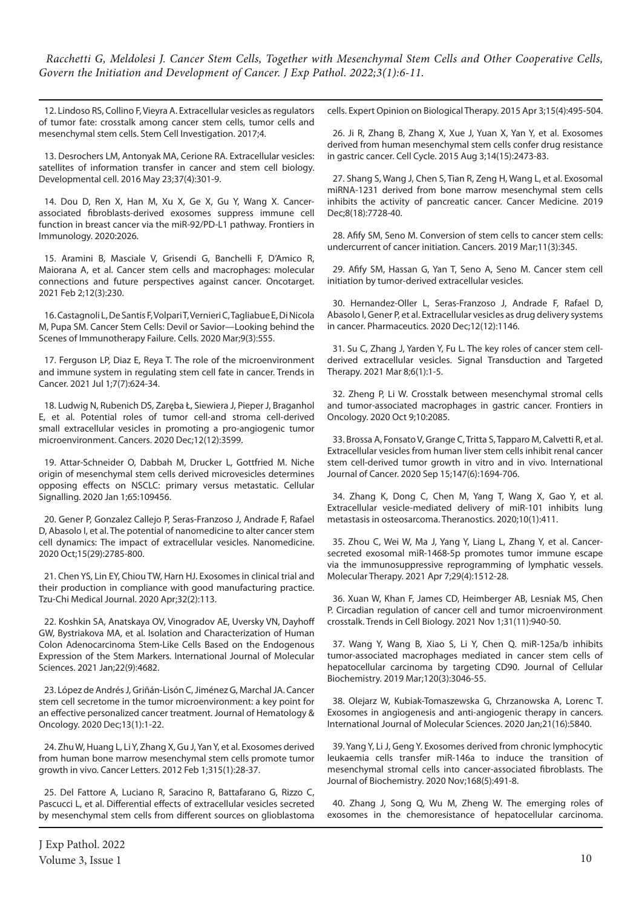12. Lindoso RS, Collino F, Vieyra A. Extracellular vesicles as regulators of tumor fate: crosstalk among cancer stem cells, tumor cells and mesenchymal stem cells. Stem Cell Investigation. 2017;4.

13. Desrochers LM, Antonyak MA, Cerione RA. Extracellular vesicles: satellites of information transfer in cancer and stem cell biology. Developmental cell. 2016 May 23;37(4):301-9.

14. Dou D, Ren X, Han M, Xu X, Ge X, Gu Y, Wang X. Cancerassociated fibroblasts-derived exosomes suppress immune cell function in breast cancer via the miR-92/PD-L1 pathway. Frontiers in Immunology. 2020:2026.

15. Aramini B, Masciale V, Grisendi G, Banchelli F, D'Amico R, Maiorana A, et al. Cancer stem cells and macrophages: molecular connections and future perspectives against cancer. Oncotarget. 2021 Feb 2;12(3):230.

16. Castagnoli L, De Santis F, Volpari T, Vernieri C, Tagliabue E, Di Nicola M, Pupa SM. Cancer Stem Cells: Devil or Savior—Looking behind the Scenes of Immunotherapy Failure. Cells. 2020 Mar;9(3):555.

17. Ferguson LP, Diaz E, Reya T. The role of the microenvironment and immune system in regulating stem cell fate in cancer. Trends in Cancer. 2021 Jul 1;7(7):624-34.

18. Ludwig N, Rubenich DS, Zaręba Ł, Siewiera J, Pieper J, Braganhol E, et al. Potential roles of tumor cell-and stroma cell-derived small extracellular vesicles in promoting a pro-angiogenic tumor microenvironment. Cancers. 2020 Dec;12(12):3599.

19. Attar-Schneider O, Dabbah M, Drucker L, Gottfried M. Niche origin of mesenchymal stem cells derived microvesicles determines opposing effects on NSCLC: primary versus metastatic. Cellular Signalling. 2020 Jan 1;65:109456.

20. Gener P, Gonzalez Callejo P, Seras-Franzoso J, Andrade F, Rafael D, Abasolo I, et al. The potential of nanomedicine to alter cancer stem cell dynamics: The impact of extracellular vesicles. Nanomedicine. 2020 Oct;15(29):2785-800.

21. Chen YS, Lin EY, Chiou TW, Harn HJ. Exosomes in clinical trial and their production in compliance with good manufacturing practice. Tzu-Chi Medical Journal. 2020 Apr;32(2):113.

22. Koshkin SA, Anatskaya OV, Vinogradov AE, Uversky VN, Dayhoff GW, Bystriakova MA, et al. Isolation and Characterization of Human Colon Adenocarcinoma Stem-Like Cells Based on the Endogenous Expression of the Stem Markers. International Journal of Molecular Sciences. 2021 Jan;22(9):4682.

23. López de Andrés J, Griñán-Lisón C, Jiménez G, Marchal JA. Cancer stem cell secretome in the tumor microenvironment: a key point for an effective personalized cancer treatment. Journal of Hematology & Oncology. 2020 Dec;13(1):1-22.

24. Zhu W, Huang L, Li Y, Zhang X, Gu J, Yan Y, et al. Exosomes derived from human bone marrow mesenchymal stem cells promote tumor growth in vivo. Cancer Letters. 2012 Feb 1;315(1):28-37.

25. Del Fattore A, Luciano R, Saracino R, Battafarano G, Rizzo C, Pascucci L, et al. Differential effects of extracellular vesicles secreted by mesenchymal stem cells from different sources on glioblastoma cells. Expert Opinion on Biological Therapy. 2015 Apr 3;15(4):495-504.

26. Ji R, Zhang B, Zhang X, Xue J, Yuan X, Yan Y, et al. Exosomes derived from human mesenchymal stem cells confer drug resistance in gastric cancer. Cell Cycle. 2015 Aug 3;14(15):2473-83.

27. Shang S, Wang J, Chen S, Tian R, Zeng H, Wang L, et al. Exosomal miRNA‐1231 derived from bone marrow mesenchymal stem cells inhibits the activity of pancreatic cancer. Cancer Medicine. 2019 Dec;8(18):7728-40.

28. Afify SM, Seno M. Conversion of stem cells to cancer stem cells: undercurrent of cancer initiation. Cancers. 2019 Mar;11(3):345.

29. Afify SM, Hassan G, Yan T, Seno A, Seno M. Cancer stem cell initiation by tumor-derived extracellular vesicles.

30. Hernandez-Oller L, Seras-Franzoso J, Andrade F, Rafael D, Abasolo I, Gener P, et al. Extracellular vesicles as drug delivery systems in cancer. Pharmaceutics. 2020 Dec;12(12):1146.

31. Su C, Zhang J, Yarden Y, Fu L. The key roles of cancer stem cellderived extracellular vesicles. Signal Transduction and Targeted Therapy. 2021 Mar 8;6(1):1-5.

32. Zheng P, Li W. Crosstalk between mesenchymal stromal cells and tumor-associated macrophages in gastric cancer. Frontiers in Oncology. 2020 Oct 9;10:2085.

33. Brossa A, Fonsato V, Grange C, Tritta S, Tapparo M, Calvetti R, et al. Extracellular vesicles from human liver stem cells inhibit renal cancer stem cell‐derived tumor growth in vitro and in vivo. International Journal of Cancer. 2020 Sep 15;147(6):1694-706.

34. Zhang K, Dong C, Chen M, Yang T, Wang X, Gao Y, et al. Extracellular vesicle-mediated delivery of miR-101 inhibits lung metastasis in osteosarcoma. Theranostics. 2020;10(1):411.

35. Zhou C, Wei W, Ma J, Yang Y, Liang L, Zhang Y, et al. Cancersecreted exosomal miR-1468-5p promotes tumor immune escape via the immunosuppressive reprogramming of lymphatic vessels. Molecular Therapy. 2021 Apr 7;29(4):1512-28.

36. Xuan W, Khan F, James CD, Heimberger AB, Lesniak MS, Chen P. Circadian regulation of cancer cell and tumor microenvironment crosstalk. Trends in Cell Biology. 2021 Nov 1;31(11):940-50.

37. Wang Y, Wang B, Xiao S, Li Y, Chen Q. miR‐125a/b inhibits tumor‐associated macrophages mediated in cancer stem cells of hepatocellular carcinoma by targeting CD90. Journal of Cellular Biochemistry. 2019 Mar;120(3):3046-55.

38. Olejarz W, Kubiak-Tomaszewska G, Chrzanowska A, Lorenc T. Exosomes in angiogenesis and anti-angiogenic therapy in cancers. International Journal of Molecular Sciences. 2020 Jan;21(16):5840.

39. Yang Y, Li J, Geng Y. Exosomes derived from chronic lymphocytic leukaemia cells transfer miR-146a to induce the transition of mesenchymal stromal cells into cancer-associated fibroblasts. The Journal of Biochemistry. 2020 Nov;168(5):491-8.

40. Zhang J, Song Q, Wu M, Zheng W. The emerging roles of exosomes in the chemoresistance of hepatocellular carcinoma.